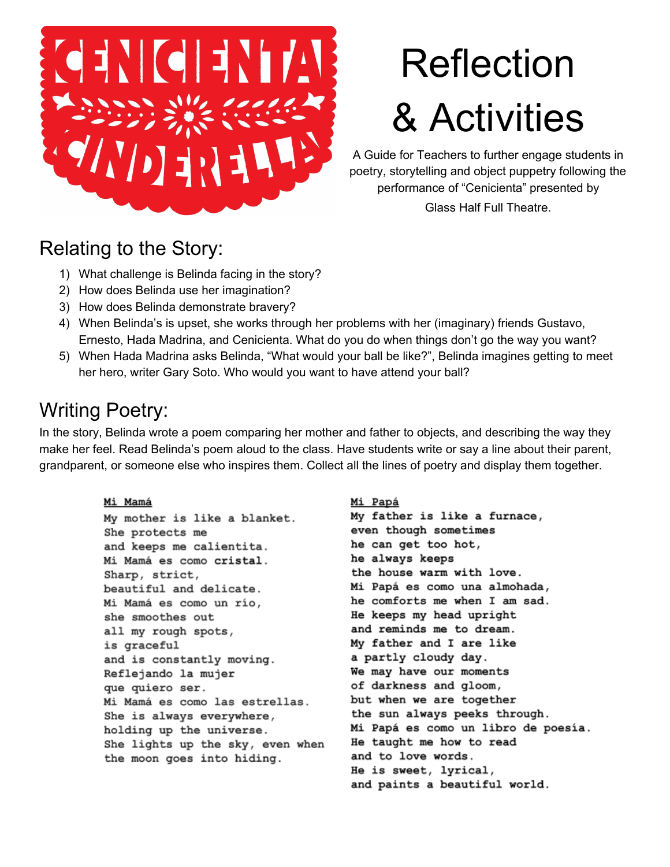

# Reflection & Activities

A Guide for Teachers to further engage students in poetry, storytelling and object puppetry following the performance of "Cenicienta" presented by

Glass Half Full Theatre.

### Relating to the Story:

- 1) What challenge is Belinda facing in the story?
- 2) How does Belinda use her imagination?
- 3) How does Belinda demonstrate bravery?
- 4) When Belinda's is upset, she works through her problems with her (imaginary) friends Gustavo, Ernesto, Hada Madrina, and Cenicienta. What do you do when things don't go the way you want?
- 5) When Hada Madrina asks Belinda, "What would your ball be like?", Belinda imagines getting to meet her hero, writer Gary Soto. Who would you want to have attend your ball?

## Writing Poetry:

In the story, Belinda wrote a poem comparing her mother and father to objects, and describing the way they make her feel. Read Belinda's poem aloud to the class. Have students write or say a line about their parent, grandparent, or someone else who inspires them. Collect all the lines of poetry and display them together.

#### Mi Mamá

My mother is like a blanket. She protects me and keeps me calientita. Mi Mamá es como cristal. Sharp, strict, beautiful and delicate. Mi Mamá es como un río, she smoothes out all my rough spots, is graceful and is constantly moving. Reflejando la mujer que quiero ser. Mi Mamá es como las estrellas. She is always everywhere, holding up the universe. She lights up the sky, even when the moon goes into hiding.

#### Mi Papá

My father is like a furnace, even though sometimes he can get too hot, he always keeps the house warm with love. Mi Papá es como una almohada, he comforts me when I am sad. He keeps my head upright and reminds me to dream. My father and I are like a partly cloudy day. We may have our moments of darkness and gloom, but when we are together the sun always peeks through. Mi Papá es como un libro de poesía. He taught me how to read and to love words. He is sweet, lyrical, and paints a beautiful world.